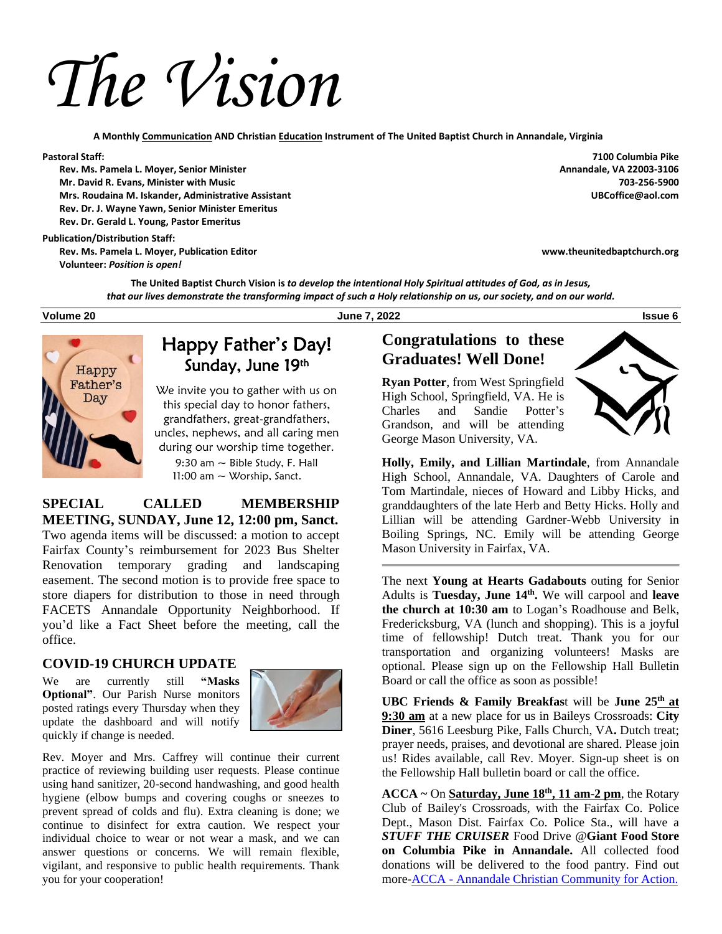*The Vision*

 **A Monthly Communication AND Christian Education Instrument of The United Baptist Church in Annandale, Virginia**

 **Rev. Ms. Pamela L. Moyer, Senior Minister Annandale, VA 22003-3106 Mr. David R. Evans, Minister with Music Mrs. Roudaina M. Iskander, Administrative Assistant UBCoffice@aol.com Rev. Dr. J. Wayne Yawn, Senior Minister Emeritus Rev. Dr. Gerald L. Young, Pastor Emeritus**

#### **Publication/Distribution Staff:**

 **Rev. Ms. Pamela L. Moyer, Publication Editor www.theunitedbaptchurch.org Volunteer:** *Position is open!*

**Pastoral Staff: 7100 Columbia Pike**

**The United Baptist Church Vision is** *to develop the intentional Holy Spiritual attitudes of God, as in Jesus, that our lives demonstrate the transforming impact of such a Holy relationship on us, our society, and on our world.*

**Volume 20 June 7, 2022 Issue 6**



## Happy Father's Day! Sunday, June 19th

We invite you to gather with us on this special day to honor fathers, grandfathers, great-grandfathers, uncles, nephews, and all caring men during our worship time together. 9:30 am  $\sim$  Bible Study, F. Hall 11:00 am  $\sim$  Worship, Sanct.

**SPECIAL CALLED MEMBERSHIP MEETING, SUNDAY, June 12, 12:00 pm, Sanct.** Two agenda items will be discussed: a motion to accept Fairfax County's reimbursement for 2023 Bus Shelter Renovation temporary grading and landscaping easement. The second motion is to provide free space to store diapers for distribution to those in need through FACETS Annandale Opportunity Neighborhood. If you'd like a Fact Sheet before the meeting, call the office.

#### **COVID-19 CHURCH UPDATE**

We are currently still **"Masks Optional"**. Our Parish Nurse monitors posted ratings every Thursday when they update the dashboard and will notify quickly if change is needed.



Rev. Moyer and Mrs. Caffrey will continue their current practice of reviewing building user requests. Please continue using hand sanitizer, 20-second handwashing, and good health hygiene (elbow bumps and covering coughs or sneezes to prevent spread of colds and flu). Extra cleaning is done; we continue to disinfect for extra caution. We respect your individual choice to wear or not wear a mask, and we can answer questions or concerns. We will remain flexible, vigilant, and responsive to public health requirements. Thank you for your cooperation!

## **Congratulations to these Graduates! Well Done!**

**Ryan Potter**, from West Springfield High School, Springfield, VA. He is Charles and Sandie Potter's Grandson, and will be attending George Mason University, VA.



**Holly, Emily, and Lillian Martindale**, from Annandale High School, Annandale, VA. Daughters of Carole and Tom Martindale, nieces of Howard and Libby Hicks, and granddaughters of the late Herb and Betty Hicks. Holly and Lillian will be attending Gardner-Webb University in Boiling Springs, NC. Emily will be attending George Mason University in Fairfax, VA.

The next **Young at Hearts Gadabouts** outing for Senior Adults is **Tuesday, June 14th .** We will carpool and **leave the church at 10:30 am** to Logan's Roadhouse and Belk, Fredericksburg, VA (lunch and shopping). This is a joyful time of fellowship! Dutch treat. Thank you for our transportation and organizing volunteers! Masks are optional. Please sign up on the Fellowship Hall Bulletin Board or call the office as soon as possible!

**UBC Friends & Family Breakfas**t will be **June 25th at 9:30 am** at a new place for us in Baileys Crossroads: **City Diner**, 5616 Leesburg Pike, Falls Church, VA**.** Dutch treat; prayer needs, praises, and devotional are shared. Please join us! Rides available, call Rev. Moyer. Sign-up sheet is on the Fellowship Hall bulletin board or call the office.

**ACCA ~** On **Saturday, June 18th , 11 am-2 pm**, the Rotary Club of Bailey's Crossroads, with the Fairfax Co. Police Dept., Mason Dist. Fairfax Co. Police Sta., will have a *STUFF THE CRUISER* Food Drive @**Giant Food Store on Columbia Pike in Annandale.** All collected food donations will be delivered to the food pantry. Find out more-ACCA - [Annandale Christian Community for Action.](https://r20.rs6.net/tn.jsp?f=001tXUtqHMDp8tQMNvVfbjMpC0pRU_352hLC-kzHH5lISxRNMyofxVDcOfYuP2ZBUWAOeZN52S6ZUrOlkOSKZlQ208C7Ht7I8fRwdjZ8En_XPrUA5OT1i9jYcLxD4-RBJThjNOxQKRGgwHtIrqJVXaFwrAxs8BnUv4T&c=dCsv3jEOgYHHR0AjuVgFf3mQSPkBhBybbT3GFxL_Od1f4YWx1ZV6Eg==&ch=IF__ya-aad7qmu4t4Ms4murWAHEQCAEkPypGJjcs7skFC-O4OlFVeA==)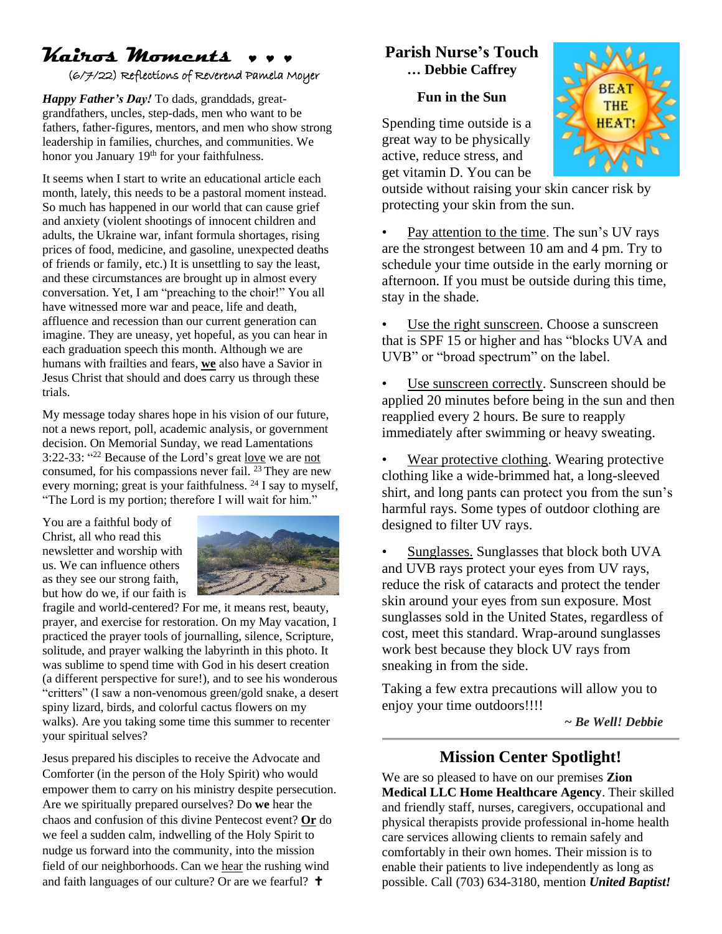## **Kairos Moments** (6/7/22) Reflections of Reverend Pamela Moyer

*Happy Father's Day!* To dads, granddads, greatgrandfathers, uncles, step-dads, men who want to be fathers, father-figures, mentors, and men who show strong leadership in families, churches, and communities. We honor you January 19<sup>th</sup> for your faithfulness.

It seems when I start to write an educational article each month, lately, this needs to be a pastoral moment instead. So much has happened in our world that can cause grief and anxiety (violent shootings of innocent children and adults, the Ukraine war, infant formula shortages, rising prices of food, medicine, and gasoline, unexpected deaths of friends or family, etc.) It is unsettling to say the least, and these circumstances are brought up in almost every conversation. Yet, I am "preaching to the choir!" You all have witnessed more war and peace, life and death, affluence and recession than our current generation can imagine. They are uneasy, yet hopeful, as you can hear in each graduation speech this month. Although we are humans with frailties and fears, **we** also have a Savior in Jesus Christ that should and does carry us through these trials.

My message today shares hope in his vision of our future, not a news report, poll, academic analysis, or government decision. On Memorial Sunday, we read Lamentations 3:22-33: "<sup>22</sup> Because of the Lord's great <u>love</u> we are not consumed, for his compassions never fail.  $^{23}$  They are new every morning; great is your faithfulness. <sup>24</sup> I say to myself, "The Lord is my portion; therefore I will wait for him."

You are a faithful body of Christ, all who read this newsletter and worship with us. We can influence others as they see our strong faith, but how do we, if our faith is



fragile and world-centered? For me, it means rest, beauty, prayer, and exercise for restoration. On my May vacation, I practiced the prayer tools of journalling, silence, Scripture, solitude, and prayer walking the labyrinth in this photo. It was sublime to spend time with God in his desert creation (a different perspective for sure!), and to see his wonderous "critters" (I saw a non-venomous green/gold snake, a desert spiny lizard, birds, and colorful cactus flowers on my walks). Are you taking some time this summer to recenter your spiritual selves?

Jesus prepared his disciples to receive the Advocate and Comforter (in the person of the Holy Spirit) who would empower them to carry on his ministry despite persecution. Are we spiritually prepared ourselves? Do **we** hear the chaos and confusion of this divine Pentecost event? **Or** do we feel a sudden calm, indwelling of the Holy Spirit to nudge us forward into the community, into the mission field of our neighborhoods. Can we hear the rushing wind and faith languages of our culture? Or are we fearful?

## **Parish Nurse's Touch … Debbie Caffrey**

#### **Fun in the Sun**

Spending time outside is a great way to be physically active, reduce stress, and get vitamin D. You can be



outside without raising your skin cancer risk by protecting your skin from the sun.

Pay attention to the time. The sun's UV rays are the strongest between 10 am and 4 pm. Try to schedule your time outside in the early morning or afternoon. If you must be outside during this time, stay in the shade.

Use the right sunscreen. Choose a sunscreen that is SPF 15 or higher and has "blocks UVA and UVB" or "broad spectrum" on the label.

• Use sunscreen correctly. Sunscreen should be applied 20 minutes before being in the sun and then reapplied every 2 hours. Be sure to reapply immediately after swimming or heavy sweating.

Wear protective clothing. Wearing protective clothing like a wide-brimmed hat, a long-sleeved shirt, and long pants can protect you from the sun's harmful rays. Some types of outdoor clothing are designed to filter UV rays.

• Sunglasses. Sunglasses that block both UVA and UVB rays protect your eyes from UV rays, reduce the risk of cataracts and protect the tender skin around your eyes from sun exposure. Most sunglasses sold in the United States, regardless of cost, meet this standard. Wrap-around sunglasses work best because they block UV rays from sneaking in from the side.

Taking a few extra precautions will allow you to enjoy your time outdoors!!!!

*~ Be Well! Debbie*

## **Mission Center Spotlight!**

We are so pleased to have on our premises **Zion Medical LLC Home Healthcare Agency**. Their skilled and friendly staff, nurses, caregivers, occupational and physical therapists provide professional in-home health care services allowing clients to remain safely and comfortably in their own homes. Their mission is to enable their patients to live independently as long as possible. Call (703) 634-3180, mention *United Baptist!*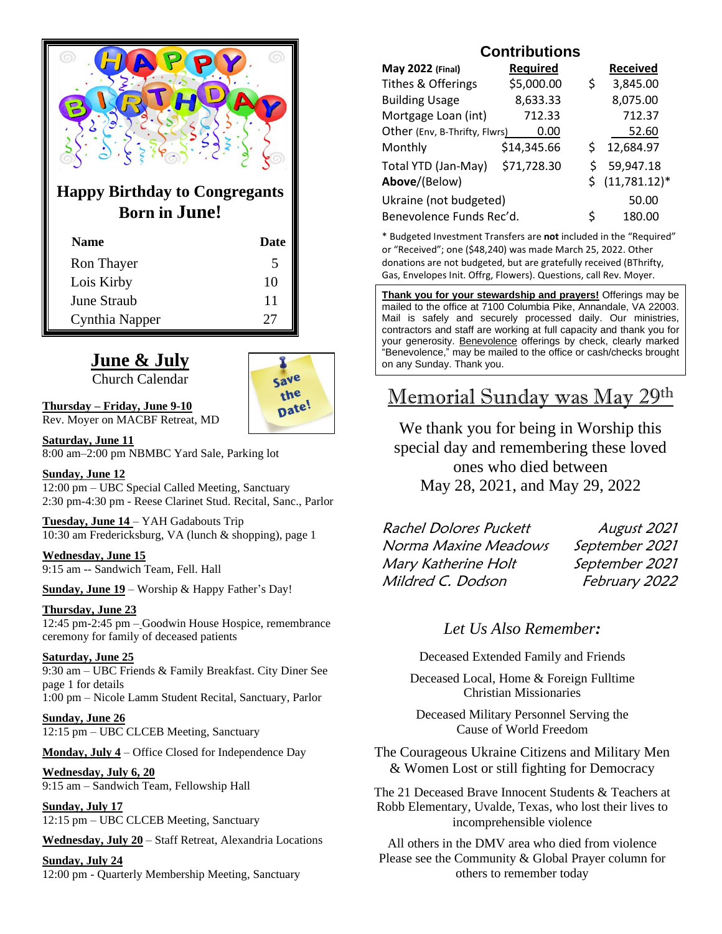

## **Happy Birthday to Congregants Born in June!**

| <b>Name</b>    | Date |
|----------------|------|
| Ron Thayer     | 5    |
| Lois Kirby     | 10   |
| June Straub    | 11   |
| Cynthia Napper | 27   |

## **June & July**

Church Calendar



**Thursday – Friday, June 9-10** Rev. Moyer on MACBF Retreat, MD

**Saturday, June 11** 8:00 am–2:00 pm NBMBC Yard Sale, Parking lot

#### **Sunday, June 12**

12:00 pm – UBC Special Called Meeting, Sanctuary 2:30 pm-4:30 pm - Reese Clarinet Stud. Recital, Sanc., Parlor

**Tuesday, June 14** – YAH Gadabouts Trip 10:30 am Fredericksburg, VA (lunch & shopping), page 1

#### **Wednesday, June 15**

9:15 am -- Sandwich Team, Fell. Hall

**Sunday, June 19** – Worship & Happy Father's Day!

#### **Thursday, June 23**

12:45 pm-2:45 pm – Goodwin House Hospice, remembrance ceremony for family of deceased patients

#### **Saturday, June 25**

9:30 am – UBC Friends & Family Breakfast. City Diner See page 1 for details 1:00 pm – Nicole Lamm Student Recital, Sanctuary, Parlor

**Sunday, June 26** 12:15 pm – UBC CLCEB Meeting, Sanctuary

**Monday, July 4** – Office Closed for Independence Day

#### **Wednesday, July 6, 20**

9:15 am – Sandwich Team, Fellowship Hall

**Sunday, July 17** 12:15 pm – UBC CLCEB Meeting, Sanctuary

**Wednesday, July 20** – Staff Retreat, Alexandria Locations

**Sunday, July 24** 12:00 pm - Quarterly Membership Meeting, Sanctuary

## **Contributions**

| May 2022 (Final)              | <b>Required</b> |    | <b>Received</b> |
|-------------------------------|-----------------|----|-----------------|
| Tithes & Offerings            | \$5,000.00      | \$ | 3,845.00        |
| <b>Building Usage</b>         | 8,633.33        |    | 8,075.00        |
| Mortgage Loan (int)           | 712.33          |    | 712.37          |
| Other (Env, B-Thrifty, Flwrs) | 0.00            |    | 52.60           |
| Monthly                       | \$14,345.66     | Ś  | 12,684.97       |
| Total YTD (Jan-May)           | \$71,728.30     | Ś  | 59,947.18       |
| Above/(Below)                 |                 |    | $(11,781.12)^*$ |
| Ukraine (not budgeted)        |                 |    | 50.00           |
| Benevolence Funds Rec'd.      |                 | Ś  | 180.00          |

\* Budgeted Investment Transfers are **not** included in the "Required" or "Received"; one (\$48,240) was made March 25, 2022. Other donations are not budgeted, but are gratefully received (BThrifty, Gas, Envelopes Init. Offrg, Flowers). Questions, call Rev. Moyer.

**Thank you for your stewardship and prayers!** Offerings may be mailed to the office at 7100 Columbia Pike, Annandale, VA 22003. Mail is safely and securely processed daily. Our ministries, contractors and staff are working at full capacity and thank you for your generosity. Benevolence offerings by check, clearly marked "Benevolence," may be mailed to the office or cash/checks brought on any Sunday. Thank you.

# Memorial Sunday was May 29th

We thank you for being in Worship this special day and remembering these loved ones who died between May 28, 2021, and May 29, 2022

| <b>Rachel Dolores Puckett</b> | August 2021    |
|-------------------------------|----------------|
| Norma Maxine Meadows          | September 2021 |
| Mary Katherine Holt           | September 2021 |
| Mildred C. Dodson             | February 2022  |

## *Let Us Also Remember:*

Deceased Extended Family and Friends

Deceased Local, Home & Foreign Fulltime Christian Missionaries

Deceased Military Personnel Serving the Cause of World Freedom

The Courageous Ukraine Citizens and Military Men & Women Lost or still fighting for Democracy

The 21 Deceased Brave Innocent Students & Teachers at Robb Elementary, Uvalde, Texas, who lost their lives to incomprehensible violence

All others in the DMV area who died from violence Please see the Community & Global Prayer column for others to remember today